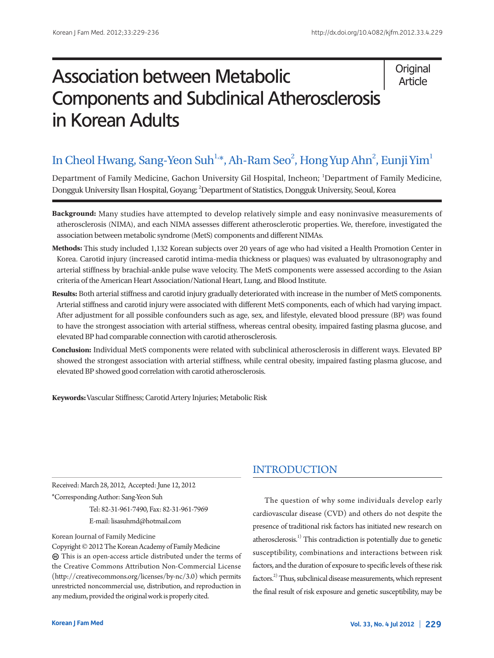**Original** Article

# Association between Metabolic Components and Subclinical Atherosclerosis in Korean Adults

## In Cheol Hwang, Sang-Yeon Suh<sup>1,</sup>\*, Ah-Ram Seo<sup>2</sup>, Hong Yup Ahn<sup>2</sup>, Eunji Yim<sup>1</sup>

Department of Family Medicine, Gachon University Gil Hospital, Incheon; <sup>1</sup>Department of Family Medicine, Dongguk University Ilsan Hospital, Goyang; <sup>2</sup>Department of Statistics, Dongguk University, Seoul, Korea

- **Background:** Many studies have attempted to develop relatively simple and easy noninvasive measurements of atherosclerosis (NIMA), and each NIMA assesses different atherosclerotic properties. We, therefore, investigated the association between metabolic syndrome (MetS) components and different NIMAs.
- **Methods:** This study included 1,132 Korean subjects over 20 years of age who had visited a Health Promotion Center in Korea. Carotid injury (increased carotid intima-media thickness or plaques) was evaluated by ultrasonography and arterial stiffness by brachial-ankle pulse wave velocity. The MetS components were assessed according to the Asian criteria of the American Heart Association/National Heart, Lung, and Blood Institute.
- **Results:** Both arterial stiffness and carotid injury gradually deteriorated with increase in the number of MetS components. Arterial stiffness and carotid injury were associated with different MetS components, each of which had varying impact. After adjustment for all possible confounders such as age, sex, and lifestyle, elevated blood pressure (BP) was found to have the strongest association with arterial stiffness, whereas central obesity, impaired fasting plasma glucose, and elevated BP had comparable connection with carotid atherosclerosis.
- **Conclusion:** Individual MetS components were related with subclinical atherosclerosis in different ways. Elevated BP showed the strongest association with arterial stiffness, while central obesity, impaired fasting plasma glucose, and elevated BP showed good correlation with carotid atherosclerosis.

**Keywords:** Vascular Stiffness; Carotid Artery Injuries; Metabolic Risk

Received: March 28, 2012, Accepted: June 12, 2012 \*Corresponding Author: Sang-Yeon Suh

> Tel: 82-31-961-7490, Fax: 82-31-961-7969 E-mail: lisasuhmd@hotmail.com

Korean Journal of Family Medicine

Copyright © 2012 The Korean Academy of Family Medicine This is an open-access article distributed under the terms of the Creative Commons Attribution Non-Commercial License (http://creativecommons.org/licenses/by-nc/3.0) which permits unrestricted noncommercial use, distribution, and reproduction in any medium, provided the original work is properly cited.

## INTRODUCTION

The question of why some individuals develop early cardiovascular disease (CVD) and others do not despite the presence of traditional risk factors has initiated new research on atherosclerosis.<sup>1)</sup> This contradiction is potentially due to genetic susceptibility, combinations and interactions between risk factors, and the duration of exposure to specific levels of these risk factors.2) Thus, subclinical disease measurements, which represent the final result of risk exposure and genetic susceptibility, may be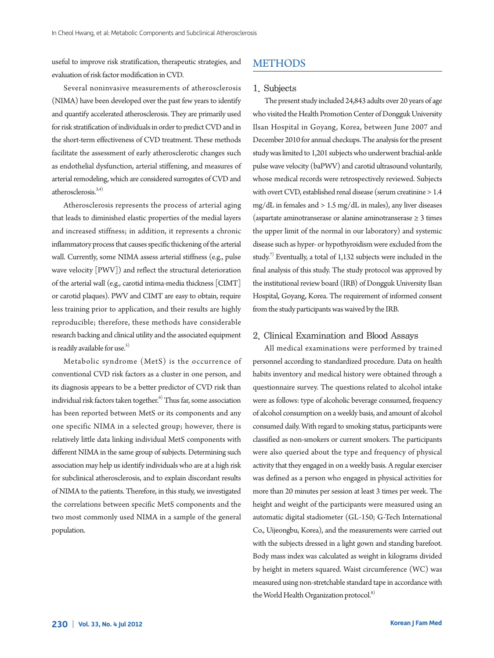useful to improve risk stratification, therapeutic strategies, and evaluation of risk factor modification in CVD.

Several noninvasive measurements of atherosclerosis (NIMA) have been developed over the past few years to identify and quantify accelerated atherosclerosis. They are primarily used for risk stratification of individuals in order to predict CVD and in the short-term effectiveness of CVD treatment. These methods facilitate the assessment of early atherosclerotic changes such as endothelial dysfunction, arterial stiffening, and measures of arterial remodeling, which are considered surrogates of CVD and atherosclerosis.3,4)

Atherosclerosis represents the process of arterial aging that leads to diminished elastic properties of the medial layers and increased stiffness; in addition, it represents a chronic inflammatory process that causes specific thickening of the arterial wall. Currently, some NIMA assess arterial stiffness (e.g., pulse wave velocity [PWV]) and reflect the structural deterioration of the arterial wall (e.g., carotid intima-media thickness [CIMT] or carotid plaques). PWV and CIMT are easy to obtain, require less training prior to application, and their results are highly reproducible; therefore, these methods have considerable research backing and clinical utility and the associated equipment is readily available for use. $^{5)}$ 

Metabolic syndrome (MetS) is the occurrence of conventional CVD risk factors as a cluster in one person, and its diagnosis appears to be a better predictor of CVD risk than individual risk factors taken together. $6$ ) Thus far, some association has been reported between MetS or its components and any one specific NIMA in a selected group; however, there is relatively little data linking individual MetS components with different NIMA in the same group of subjects. Determining such association may help us identify individuals who are at a high risk for subclinical atherosclerosis, and to explain discordant results of NIMA to the patients. Therefore, in this study, we investigated the correlations between specific MetS components and the two most commonly used NIMA in a sample of the general population.

## **METHODS**

#### 1. Subjects

The present study included 24,843 adults over 20 years of age who visited the Health Promotion Center of Dongguk University Ilsan Hospital in Goyang, Korea, between June 2007 and December 2010 for annual checkups. The analysis for the present study was limited to 1,201 subjects who underwent brachial-ankle pulse wave velocity (baPWV) and carotid ultrasound voluntarily, whose medical records were retrospectively reviewed. Subjects with overt CVD, established renal disease (serum creatinine > 1.4 mg/dL in females and > 1.5 mg/dL in males), any liver diseases (aspartate aminotranserase or alanine aminotranserase  $\geq 3$  times the upper limit of the normal in our laboratory) and systemic disease such as hyper- or hypothyroidism were excluded from the study.<sup>7)</sup> Eventually, a total of 1,132 subjects were included in the final analysis of this study. The study protocol was approved by the institutional review board (IRB) of Dongguk University Ilsan Hospital, Goyang, Korea. The requirement of informed consent from the study participants was waived by the IRB.

#### 2. Clinical Examination and Blood Assays

All medical examinations were performed by trained personnel according to standardized procedure. Data on health habits inventory and medical history were obtained through a questionnaire survey. The questions related to alcohol intake were as follows: type of alcoholic beverage consumed, frequency of alcohol consumption on a weekly basis, and amount of alcohol consumed daily. With regard to smoking status, participants were classified as non-smokers or current smokers. The participants were also queried about the type and frequency of physical activity that they engaged in on a weekly basis. A regular exerciser was defined as a person who engaged in physical activities for more than 20 minutes per session at least 3 times per week. The height and weight of the participants were measured using an automatic digital stadiometer (GL-150; G-Tech International Co., Uijeongbu, Korea), and the measurements were carried out with the subjects dressed in a light gown and standing barefoot. Body mass index was calculated as weight in kilograms divided by height in meters squared. Waist circumference (WC) was measured using non-stretchable standard tape in accordance with the World Health Organization protocol.<sup>8)</sup>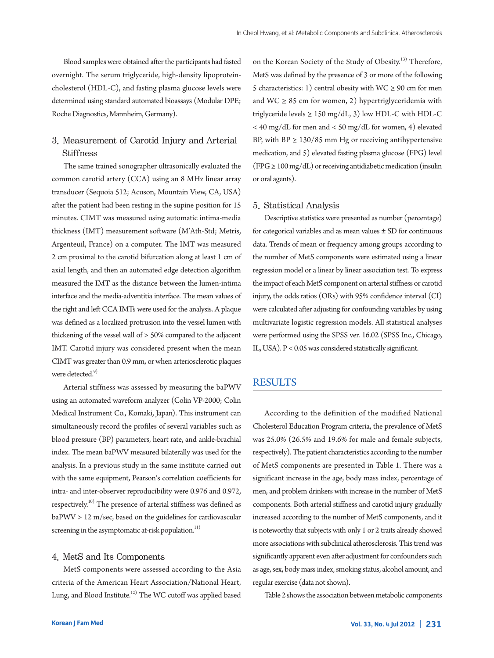Blood samples were obtained after the participants had fasted overnight. The serum triglyceride, high-density lipoproteincholesterol (HDL-C), and fasting plasma glucose levels were determined using standard automated bioassays (Modular DPE; Roche Diagnostics, Mannheim, Germany).

## 3. Measurement of Carotid Injury and Arterial Stiffness

The same trained sonographer ultrasonically evaluated the common carotid artery (CCA) using an 8 MHz linear array transducer (Sequoia 512; Acuson, Mountain View, CA, USA) after the patient had been resting in the supine position for 15 minutes. CIMT was measured using automatic intima-media thickness (IMT) measurement software (M'Ath-Std; Metris, Argenteuil, France) on a computer. The IMT was measured 2 cm proximal to the carotid bifurcation along at least 1 cm of axial length, and then an automated edge detection algorithm measured the IMT as the distance between the lumen-intima interface and the media-adventitia interface. The mean values of the right and left CCA IMTs were used for the analysis. A plaque was defined as a localized protrusion into the vessel lumen with thickening of the vessel wall of > 50% compared to the adjacent IMT. Carotid injury was considered present when the mean CIMT was greater than 0.9 mm, or when arteriosclerotic plaques were detected.<sup>9)</sup>

Arterial stiffness was assessed by measuring the baPWV using an automated waveform analyzer (Colin VP-2000; Colin Medical Instrument Co., Komaki, Japan). This instrument can simultaneously record the profiles of several variables such as blood pressure (BP) parameters, heart rate, and ankle-brachial index. The mean baPWV measured bilaterally was used for the analysis. In a previous study in the same institute carried out with the same equipment, Pearson's correlation coefficients for intra- and inter-observer reproducibility were 0.976 and 0.972, respectively.<sup>10)</sup> The presence of arterial stiffness was defined as baPWV > 12 m/sec, based on the guidelines for cardiovascular screening in the asymptomatic at-risk population.<sup>11)</sup>

#### 4. MetS and Its Components

MetS components were assessed according to the Asia criteria of the American Heart Association/National Heart, Lung, and Blood Institute.<sup>12)</sup> The WC cutoff was applied based on the Korean Society of the Study of Obesity.13) Therefore, MetS was defined by the presence of 3 or more of the following 5 characteristics: 1) central obesity with  $WC \ge 90$  cm for men and  $WC \ge 85$  cm for women, 2) hypertriglyceridemia with triglyceride levels  $\geq 150$  mg/dL, 3) low HDL-C with HDL-C < 40 mg/dL for men and < 50 mg/dL for women, 4) elevated BP, with  $BP \geq 130/85$  mm Hg or receiving antihypertensive medication, and 5) elevated fasting plasma glucose (FPG) level  $(FPG \ge 100 \text{ mg/dL})$  or receiving antidiabetic medication (insulin or oral agents).

#### 5. Statistical Analysis

Descriptive statistics were presented as number (percentage) for categorical variables and as mean values ± SD for continuous data. Trends of mean or frequency among groups according to the number of MetS components were estimated using a linear regression model or a linear by linear association test. To express the impact of each MetS component on arterial stiffness or carotid injury, the odds ratios (ORs) with 95% confidence interval (CI) were calculated after adjusting for confounding variables by using multivariate logistic regression models. All statistical analyses were performed using the SPSS ver. 16.02 (SPSS Inc., Chicago, IL, USA). P < 0.05 was considered statistically significant.

#### **RESULTS**

According to the definition of the modified National Cholesterol Education Program criteria, the prevalence of MetS was 25.0% (26.5% and 19.6% for male and female subjects, respectively). The patient characteristics according to the number of MetS components are presented in Table 1. There was a significant increase in the age, body mass index, percentage of men, and problem drinkers with increase in the number of MetS components. Both arterial stiffness and carotid injury gradually increased according to the number of MetS components, and it is noteworthy that subjects with only 1 or 2 traits already showed more associations with subclinical atherosclerosis. This trend was significantly apparent even after adjustment for confounders such as age, sex, body mass index, smoking status, alcohol amount, and regular exercise (data not shown).

Table 2 shows the association between metabolic components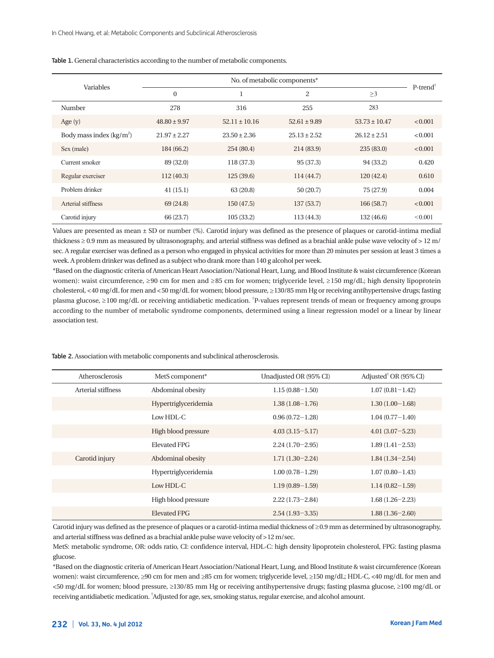| Variables                  | No. of metabolic components* |                   |                  |                   |                         |
|----------------------------|------------------------------|-------------------|------------------|-------------------|-------------------------|
|                            | $\mathbf{0}$                 |                   | $\overline{2}$   | $\geq$ 3          | $P$ -trend <sup>†</sup> |
| Number                     | 278                          | 316               | 255              | 283               |                         |
| Age $(y)$                  | $48.80 \pm 9.97$             | $52.11 \pm 10.16$ | $52.61 \pm 9.89$ | $53.73 \pm 10.47$ | < 0.001                 |
| Body mass index $(kg/m^2)$ | $21.97 \pm 2.27$             | $23.50 \pm 2.36$  | $25.13 \pm 2.52$ | $26.12 \pm 2.51$  | < 0.001                 |
| Sex (male)                 | 184 (66.2)                   | 254 (80.4)        | 214 (83.9)       | 235(83.0)         | < 0.001                 |
| Current smoker             | 89 (32.0)                    | 118 (37.3)        | 95 (37.3)        | 94 (33.2)         | 0.420                   |
| Regular exerciser          | 112(40.3)                    | 125(39.6)         | 114 (44.7)       | 120(42.4)         | 0.610                   |
| Problem drinker            | 41(15.1)                     | 63(20.8)          | 50(20.7)         | 75 (27.9)         | 0.004                   |
| Arterial stiffness         | 69 (24.8)                    | 150 (47.5)        | 137(53.7)        | 166 (58.7)        | < 0.001                 |
| Carotid injury             | 66 (23.7)                    | 105(33.2)         | 113(44.3)        | 132 (46.6)        | < 0.001                 |

Table 1. General characteristics according to the number of metabolic components.

Values are presented as mean ± SD or number (%). Carotid injury was defined as the presence of plaques or carotid-intima medial thickness ≥ 0.9 mm as measured by ultrasonography, and arterial stiffness was defined as a brachial ankle pulse wave velocity of > 12 m/ sec. A regular exerciser was defined as a person who engaged in physical activities for more than 20 minutes per session at least 3 times a week. A problem drinker was defined as a subject who drank more than 140 g alcohol per week.

\*Based on the diagnostic criteria of American Heart Association/National Heart, Lung, and Blood Institute & waist circumference (Korean women): waist circumference, ≥90 cm for men and ≥85 cm for women; triglyceride level, ≥150 mg/dL; high density lipoprotein cholesterol, <40 mg/dL for men and <50 mg/dL for women; blood pressure, ≥130/85 mm Hg or receiving antihypertensive drugs; fasting plasma glucose, ≥100 mg/dL or receiving antidiabetic medication. † P-values represent trends of mean or frequency among groups according to the number of metabolic syndrome components, determined using a linear regression model or a linear by linear association test.

Table 2. Association with metabolic components and subclinical atherosclerosis.

| Atherosclerosis    | MetS component*      | Unadjusted OR (95% CI) | Adjusted <sup>†</sup> OR (95% CI) |  |
|--------------------|----------------------|------------------------|-----------------------------------|--|
| Arterial stiffness | Abdominal obesity    | $1.15(0.88 - 1.50)$    | $1.07(0.81 - 1.42)$               |  |
|                    | Hypertriglyceridemia | $1.38(1.08-1.76)$      | $1.30(1.00-1.68)$                 |  |
|                    | Low HDL-C            | $0.96(0.72 - 1.28)$    | $1.04(0.77-1.40)$                 |  |
|                    | High blood pressure  | $4.03(3.15 - 5.17)$    | $4.01(3.07 - 5.23)$               |  |
|                    | Elevated FPG         | $2.24(1.70-2.95)$      | $1.89(1.41 - 2.53)$               |  |
| Carotid injury     | Abdominal obesity    | $1.71(1.30-2.24)$      | $1.84(1.34 - 2.54)$               |  |
|                    | Hypertriglyceridemia | $1.00(0.78 - 1.29)$    | $1.07(0.80 - 1.43)$               |  |
|                    | Low HDL-C            | $1.19(0.89 - 1.59)$    | $1.14(0.82 - 1.59)$               |  |
|                    | High blood pressure  | $2.22(1.73 - 2.84)$    | $1.68(1.26 - 2.23)$               |  |
|                    | Elevated FPG         | $2.54(1.93 - 3.35)$    | $1.88(1.36 - 2.60)$               |  |

Carotid injury was defined as the presence of plaques or a carotid-intima medial thickness of ≥0.9 mm as determined by ultrasonography, and arterial stiffness was defined as a brachial ankle pulse wave velocity of >12 m/sec.

MetS: metabolic syndrome, OR: odds ratio, CI: confidence interval, HDL-C: high density lipoprotein cholesterol, FPG: fasting plasma glucose.

\*Based on the diagnostic criteria of American Heart Association/National Heart, Lung, and Blood Institute & waist circumference (Korean women): waist circumference, ≥90 cm for men and ≥85 cm for women; triglyceride level, ≥150 mg/dL; HDL-C, <40 mg/dL for men and <50 mg/dL for women; blood pressure, ≥130/85 mm Hg or receiving antihypertensive drugs; fasting plasma glucose, ≥100 mg/dL or receiving antidiabetic medication. † Adjusted for age, sex, smoking status, regular exercise, and alcohol amount.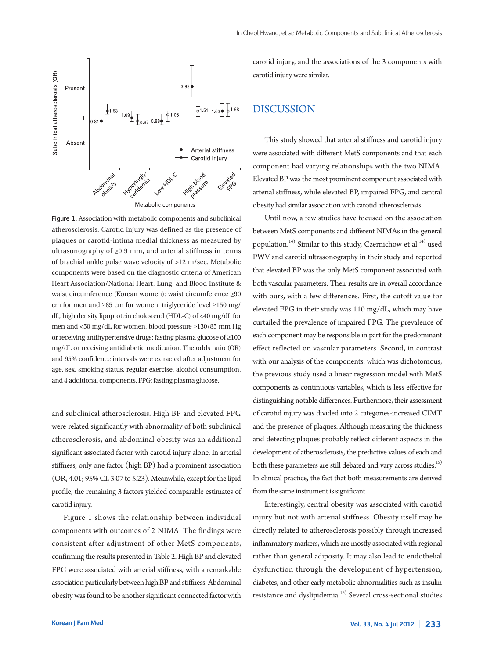

Figure 1. Association with metabolic components and subclinical atherosclerosis. Carotid injury was defined as the presence of plaques or carotid-intima medial thickness as measured by ultrasonography of ≥0.9 mm, and arterial stiffness in terms of brachial ankle pulse wave velocity of >12 m/sec. Metabolic components were based on the diagnostic criteria of American Heart Association/National Heart, Lung, and Blood Institute & waist circumference (Korean women): waist circumference ≥90 cm for men and ≥85 cm for women; triglyceride level ≥150 mg/ dL, high density lipoprotein cholesterol (HDL-C) of <40 mg/dL for men and <50 mg/dL for women, blood pressure ≥130/85 mm Hg or receiving antihypertensive drugs; fasting plasma glucose of ≥100 mg/dL or receiving antidiabetic medication. The odds ratio (OR) and 95% confidence intervals were extracted after adjustment for age, sex, smoking status, regular exercise, alcohol consumption, and 4 additional components. FPG: fasting plasma glucose.

and subclinical atherosclerosis. High BP and elevated FPG were related significantly with abnormality of both subclinical atherosclerosis, and abdominal obesity was an additional significant associated factor with carotid injury alone. In arterial stiffness, only one factor (high BP) had a prominent association (OR, 4.01; 95% CI, 3.07 to 5.23). Meanwhile, except for the lipid profile, the remaining 3 factors yielded comparable estimates of carotid injury.

Figure 1 shows the relationship between individual components with outcomes of 2 NIMA. The findings were consistent after adjustment of other MetS components, confirming the results presented in Table 2. High BP and elevated FPG were associated with arterial stiffness, with a remarkable association particularly between high BP and stiffness. Abdominal obesity was found to be another significant connected factor with carotid injury, and the associations of the 3 components with carotid injury were similar.

## DISCUSSION

This study showed that arterial stiffness and carotid injury were associated with different MetS components and that each component had varying relationships with the two NIMA. Elevated BP was the most prominent component associated with arterial stiffness, while elevated BP, impaired FPG, and central obesity had similar association with carotid atherosclerosis.

Until now, a few studies have focused on the association between MetS components and different NIMAs in the general population.<sup>14)</sup> Similar to this study, Czernichow et al.<sup>14)</sup> used PWV and carotid ultrasonography in their study and reported that elevated BP was the only MetS component associated with both vascular parameters. Their results are in overall accordance with ours, with a few differences. First, the cutoff value for elevated FPG in their study was 110 mg/dL, which may have curtailed the prevalence of impaired FPG. The prevalence of each component may be responsible in part for the predominant effect reflected on vascular parameters. Second, in contrast with our analysis of the components, which was dichotomous, the previous study used a linear regression model with MetS components as continuous variables, which is less effective for distinguishing notable differences. Furthermore, their assessment of carotid injury was divided into 2 categories-increased CIMT and the presence of plaques. Although measuring the thickness and detecting plaques probably reflect different aspects in the development of atherosclerosis, the predictive values of each and both these parameters are still debated and vary across studies.<sup>15)</sup> In clinical practice, the fact that both measurements are derived from the same instrument is significant.

Interestingly, central obesity was associated with carotid injury but not with arterial stiffness. Obesity itself may be directly related to atherosclerosis possibly through increased inflammatory markers, which are mostly associated with regional rather than general adiposity. It may also lead to endothelial dysfunction through the development of hypertension, diabetes, and other early metabolic abnormalities such as insulin resistance and dyslipidemia.<sup>16)</sup> Several cross-sectional studies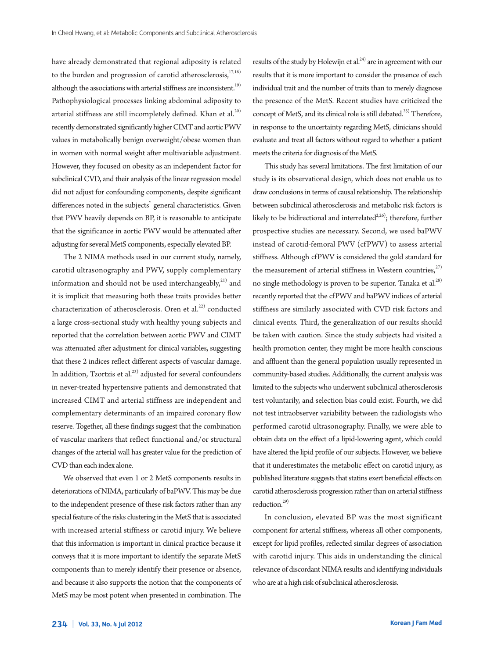have already demonstrated that regional adiposity is related to the burden and progression of carotid atherosclerosis,<sup>17,18)</sup> although the associations with arterial stiffness are inconsistent.<sup>19)</sup> Pathophysiological processes linking abdominal adiposity to arterial stiffness are still incompletely defined. Khan et al. $^{20)}$ recently demonstrated significantly higher CIMT and aortic PWV values in metabolically benign overweight/obese women than in women with normal weight after multivariable adjustment. However, they focused on obesity as an independent factor for subclinical CVD, and their analysis of the linear regression model did not adjust for confounding components, despite significant differences noted in the subjects' general characteristics. Given that PWV heavily depends on BP, it is reasonable to anticipate that the significance in aortic PWV would be attenuated after adjusting for several MetS components, especially elevated BP.

The 2 NIMA methods used in our current study, namely, carotid ultrasonography and PWV, supply complementary information and should not be used interchangeably, $^{21)}$  and it is implicit that measuring both these traits provides better characterization of atherosclerosis. Oren et al. $^{22)}$  conducted a large cross-sectional study with healthy young subjects and reported that the correlation between aortic PWV and CIMT was attenuated after adjustment for clinical variables, suggesting that these 2 indices reflect different aspects of vascular damage. In addition, Tzortzis et al. $^{23)}$  adjusted for several confounders in never-treated hypertensive patients and demonstrated that increased CIMT and arterial stiffness are independent and complementary determinants of an impaired coronary flow reserve. Together, all these findings suggest that the combination of vascular markers that reflect functional and/or structural changes of the arterial wall has greater value for the prediction of CVD than each index alone.

We observed that even 1 or 2 MetS components results in deteriorations of NIMA, particularly of baPWV. This may be due to the independent presence of these risk factors rather than any special feature of the risks clustering in the MetS that is associated with increased arterial stiffness or carotid injury. We believe that this information is important in clinical practice because it conveys that it is more important to identify the separate MetS components than to merely identify their presence or absence, and because it also supports the notion that the components of MetS may be most potent when presented in combination. The

results of the study by Holewijn et al.<sup>24)</sup> are in agreement with our results that it is more important to consider the presence of each individual trait and the number of traits than to merely diagnose the presence of the MetS. Recent studies have criticized the concept of MetS, and its clinical role is still debated.<sup>25)</sup> Therefore, in response to the uncertainty regarding MetS, clinicians should evaluate and treat all factors without regard to whether a patient meets the criteria for diagnosis of the MetS.

This study has several limitations. The first limitation of our study is its observational design, which does not enable us to draw conclusions in terms of causal relationship. The relationship between subclinical atherosclerosis and metabolic risk factors is likely to be bidirectional and interrelated<sup>2,26)</sup>; therefore, further prospective studies are necessary. Second, we used baPWV instead of carotid-femoral PWV (cf PWV) to assess arterial stiffness. Although cfPWV is considered the gold standard for the measurement of arterial stiffness in Western countries, $27$ ) no single methodology is proven to be superior. Tanaka et al.<sup>28)</sup> recently reported that the cfPWV and baPWV indices of arterial stiffness are similarly associated with CVD risk factors and clinical events. Third, the generalization of our results should be taken with caution. Since the study subjects had visited a health promotion center, they might be more health conscious and affluent than the general population usually represented in community-based studies. Additionally, the current analysis was limited to the subjects who underwent subclinical atherosclerosis test voluntarily, and selection bias could exist. Fourth, we did not test intraobserver variability between the radiologists who performed carotid ultrasonography. Finally, we were able to obtain data on the effect of a lipid-lowering agent, which could have altered the lipid profile of our subjects. However, we believe that it underestimates the metabolic effect on carotid injury, as published literature suggests that statins exert beneficial effects on carotid atherosclerosis progression rather than on arterial stiffness reduction.<sup>29)</sup>

In conclusion, elevated BP was the most significant component for arterial stiffness, whereas all other components, except for lipid profiles, reflected similar degrees of association with carotid injury. This aids in understanding the clinical relevance of discordant NIMA results and identifying individuals who are at a high risk of subclinical atherosclerosis.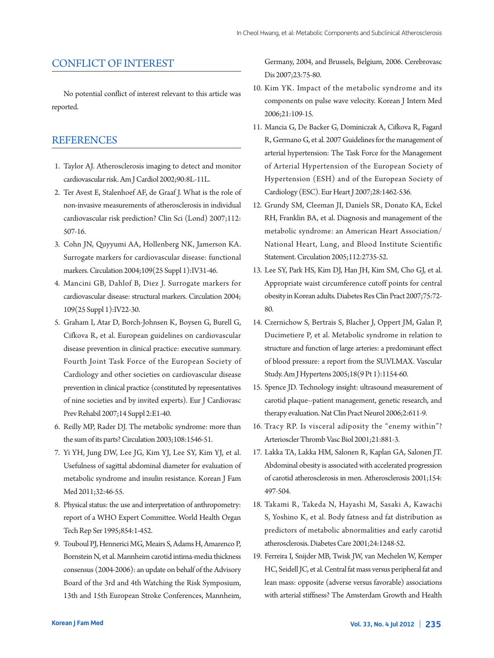## CONFLICT OF INTEREST

No potential conflict of interest relevant to this article was reported.

### **REFERENCES**

- 1. Taylor AJ. Atherosclerosis imaging to detect and monitor cardiovascular risk. Am J Cardiol 2002;90:8L-11L.
- 2. Ter Avest E, Stalenhoef AF, de Graaf J. What is the role of non-invasive measurements of atherosclerosis in individual cardiovascular risk prediction? Clin Sci (Lond) 2007;112: 507-16.
- 3. Cohn JN, Quyyumi AA, Hollenberg NK, Jamerson KA. Surrogate markers for cardiovascular disease: functional markers. Circulation 2004;109(25 Suppl 1):IV31-46.
- 4. Mancini GB, Dahlof B, Diez J. Surrogate markers for cardiovascular disease: structural markers. Circulation 2004; 109(25 Suppl 1):IV22-30.
- 5. Graham I, Atar D, Borch-Johnsen K, Boysen G, Burell G, Cifkova R, et al. European guidelines on cardiovascular disease prevention in clinical practice: executive summary. Fourth Joint Task Force of the European Society of Cardiology and other societies on cardiovascular disease prevention in clinical practice (constituted by representatives of nine societies and by invited experts). Eur J Cardiovasc Prev Rehabil 2007;14 Suppl 2:E1-40.
- 6. Reilly MP, Rader DJ. The metabolic syndrome: more than the sum of its parts? Circulation 2003;108:1546-51.
- 7. Yi YH, Jung DW, Lee JG, Kim YJ, Lee SY, Kim YJ, et al. Usefulness of sagittal abdominal diameter for evaluation of metabolic syndrome and insulin resistance. Korean J Fam Med 2011;32:46-55.
- 8. Physical status: the use and interpretation of anthropometry: report of a WHO Expert Committee. World Health Organ Tech Rep Ser 1995;854:1-452.
- 9. Touboul PJ, Hennerici MG, Meairs S, Adams H, Amarenco P, Bornstein N, et al. Mannheim carotid intima-media thickness consensus (2004-2006): an update on behalf of the Advisory Board of the 3rd and 4th Watching the Risk Symposium, 13th and 15th European Stroke Conferences, Mannheim,

Germany, 2004, and Brussels, Belgium, 2006. Cerebrovasc Dis 2007;23:75-80.

- 10. Kim YK. Impact of the metabolic syndrome and its components on pulse wave velocity. Korean J Intern Med 2006;21:109-15.
- 11. Mancia G, De Backer G, Dominiczak A, Cifkova R, Fagard R, Germano G, et al. 2007 Guidelines for the management of arterial hypertension: The Task Force for the Management of Arterial Hypertension of the European Society of Hypertension (ESH) and of the European Society of Cardiology (ESC). Eur Heart J 2007;28:1462-536.
- 12. Grundy SM, Cleeman JI, Daniels SR, Donato KA, Eckel RH, Franklin BA, et al. Diagnosis and management of the metabolic syndrome: an American Heart Association/ National Heart, Lung, and Blood Institute Scientific Statement. Circulation 2005;112:2735-52.
- 13. Lee SY, Park HS, Kim DJ, Han JH, Kim SM, Cho GJ, et al. Appropriate waist circumference cutoff points for central obesity in Korean adults. Diabetes Res Clin Pract 2007;75:72- 80.
- 14. Czernichow S, Bertrais S, Blacher J, Oppert JM, Galan P, Ducimetiere P, et al. Metabolic syndrome in relation to structure and function of large arteries: a predominant effect of blood pressure: a report from the SU.VI.MAX. Vascular Study. Am J Hypertens 2005;18(9 Pt 1):1154-60.
- 15. Spence JD. Technology insight: ultrasound measurement of carotid plaque--patient management, genetic research, and therapy evaluation. Nat Clin Pract Neurol 2006;2:611-9.
- 16. Tracy RP. Is visceral adiposity the "enemy within"? Arterioscler Thromb Vasc Biol 2001;21:881-3.
- 17. Lakka TA, Lakka HM, Salonen R, Kaplan GA, Salonen JT. Abdominal obesity is associated with accelerated progression of carotid atherosclerosis in men. Atherosclerosis 2001;154: 497-504.
- 18. Takami R, Takeda N, Hayashi M, Sasaki A, Kawachi S, Yoshino K, et al. Body fatness and fat distribution as predictors of metabolic abnormalities and early carotid atherosclerosis. Diabetes Care 2001;24:1248-52.
- 19. Ferreira I, Snijder MB, Twisk JW, van Mechelen W, Kemper HC, Seidell JC, et al. Central fat mass versus peripheral fat and lean mass: opposite (adverse versus favorable) associations with arterial stiffness? The Amsterdam Growth and Health